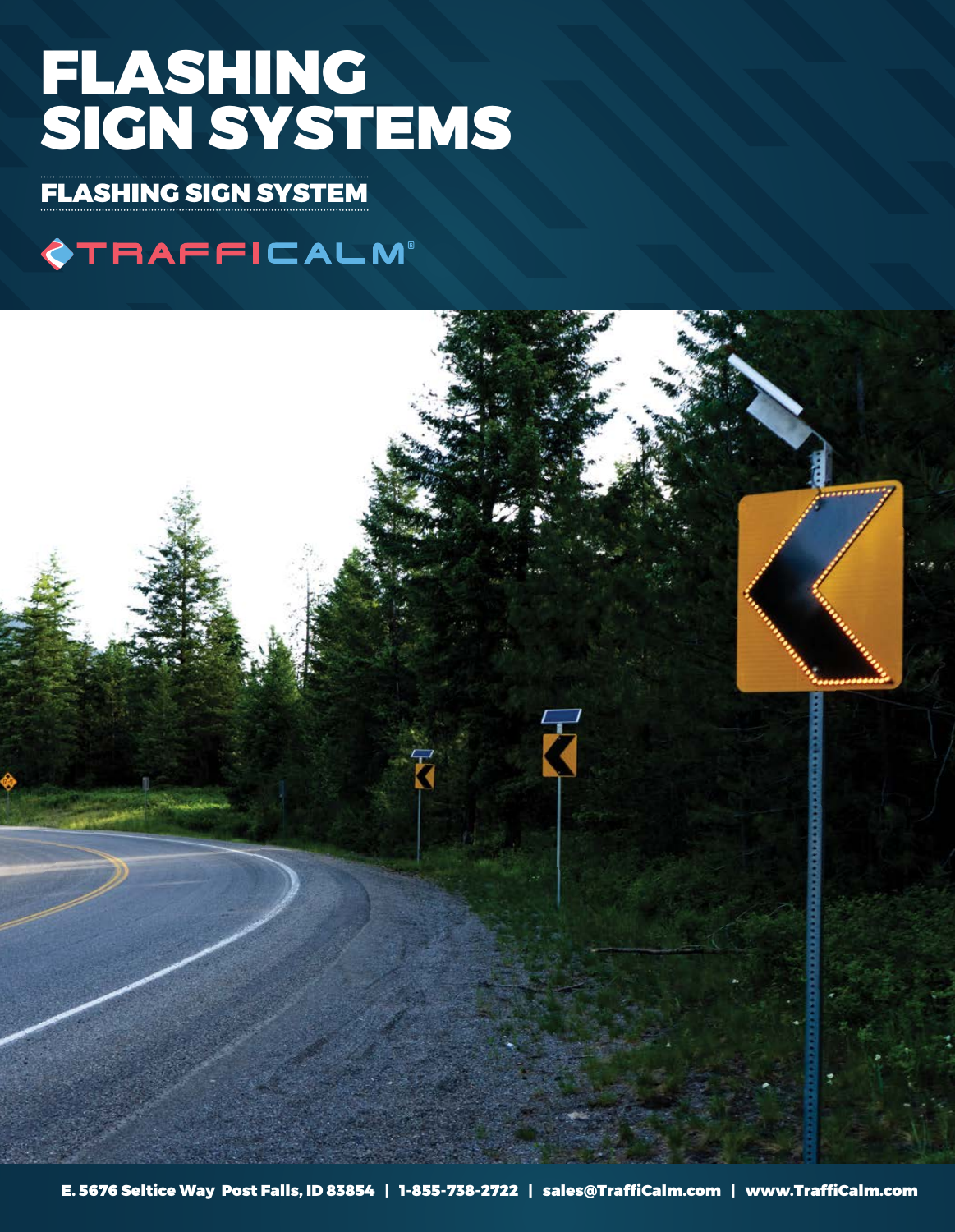# FLASHING SIGN SYSTEMS

FLASHING SIGN SYSTEM

# **OTRAFFICALM®**

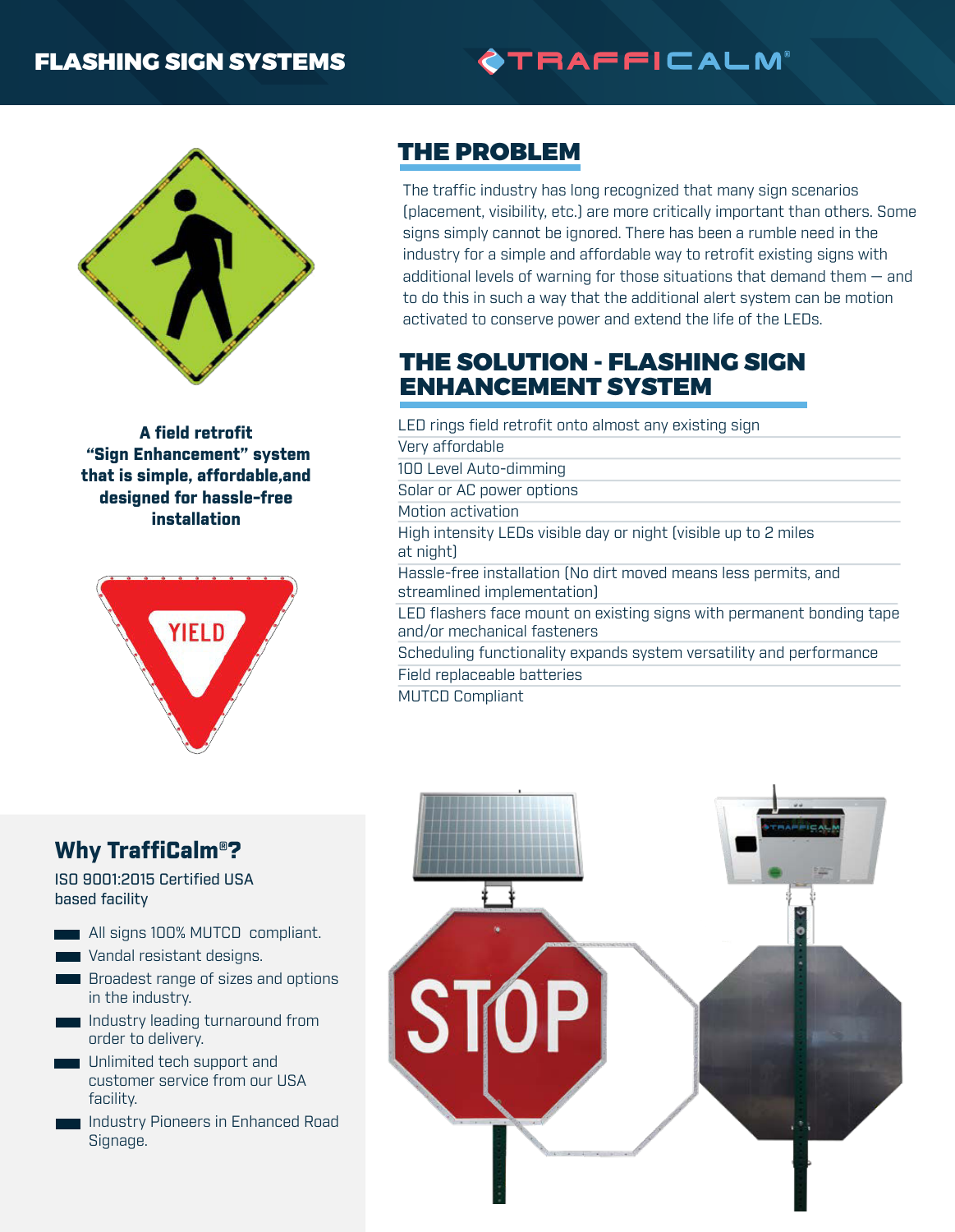#### FLASHING SIGN SYSTEMS

# **OTRAFFICALM®**



A field retrofit "Sign Enhancement" system that is simple, affordable,and designed for hassle-free installation



## THE PROBLEM

The traffic industry has long recognized that many sign scenarios (placement, visibility, etc.) are more critically important than others. Some signs simply cannot be ignored. There has been a rumble need in the industry for a simple and affordable way to retrofit existing signs with additional levels of warning for those situations that demand them — and to do this in such a way that the additional alert system can be motion activated to conserve power and extend the life of the LEDs.

#### THE SOLUTION - FLASHING SIGN ENHANCEMENT SYSTEM

LED rings field retrofit onto almost any existing sign Very affordable 100 Level Auto-dimming Solar or AC power options Motion activation High intensity LEDs visible day or night (visible up to 2 miles at night) Hassle-free installation (No dirt moved means less permits, and streamlined implementation) LED flashers face mount on existing signs with permanent bonding tape and/or mechanical fasteners Scheduling functionality expands system versatility and performance Field replaceable batteries

MUTCD Compliant

#### Why TraffiCalm®?

ISO 9001:2015 Certified USA based facility

All signs 100% MUTCD compliant.

- Vandal resistant designs.
- **Broadest range of sizes and options** in the industry.
- Industry leading turnaround from order to delivery.
- **Unlimited tech support and** customer service from our USA facility.
- **Industry Pioneers in Enhanced Road** Signage.

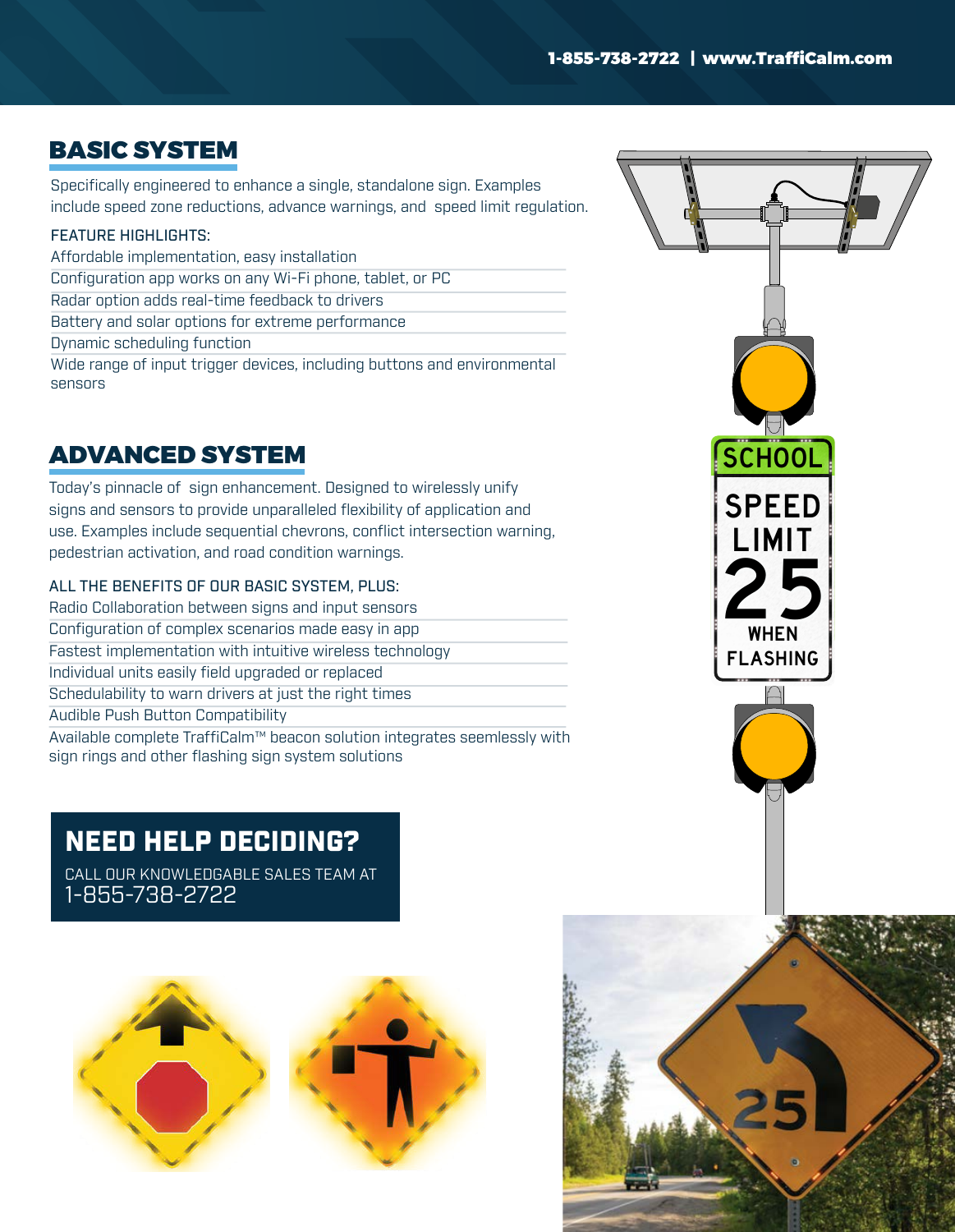### BASIC SYSTEM

Specifically engineered to enhance a single, standalone sign. Examples include speed zone reductions, advance warnings, and speed limit regulation.

#### FEATURE HIGHLIGHTS:

Affordable implementation, easy installation Configuration app works on any Wi-Fi phone, tablet, or PC Radar option adds real-time feedback to drivers Battery and solar options for extreme performance Dynamic scheduling function Wide range of input trigger devices, including buttons and environmental sensors

### ADVANCED SYSTEM

Today's pinnacle of sign enhancement. Designed to wirelessly unify signs and sensors to provide unparalleled flexibility of application and use. Examples include sequential chevrons, conflict intersection warning, pedestrian activation, and road condition warnings.

#### ALL THE BENEFITS OF OUR BASIC SYSTEM, PLUS:

Radio Collaboration between signs and input sensors Configuration of complex scenarios made easy in app Fastest implementation with intuitive wireless technology Individual units easily field upgraded or replaced Schedulability to warn drivers at just the right times Audible Push Button Compatibility Available complete TraffiCalm™ beacon solution integrates seemlessly with sign rings and other flashing sign system solutions

# NEED HELP DECIDING?

CALL OUR KNOWLEDGABLE SALES TEAM AT 1-855-738-2722